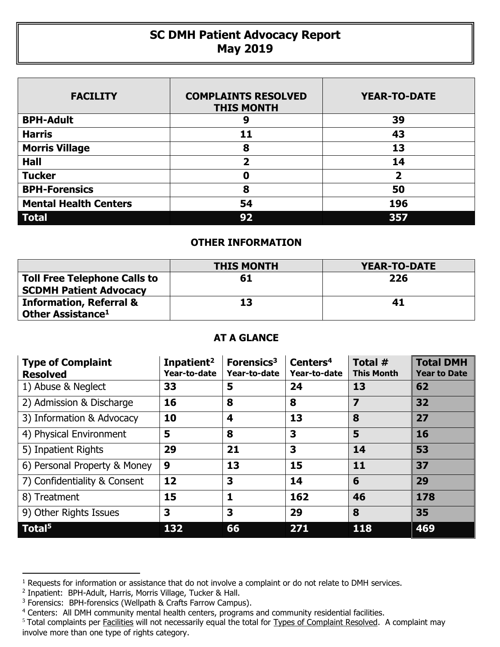## **SC DMH Patient Advocacy Report May 2019**

| <b>FACILITY</b>              | <b>COMPLAINTS RESOLVED</b><br><b>THIS MONTH</b> | <b>YEAR-TO-DATE</b>     |
|------------------------------|-------------------------------------------------|-------------------------|
| <b>BPH-Adult</b>             | 9                                               | 39                      |
| <b>Harris</b>                | 11                                              | 43                      |
| <b>Morris Village</b>        | 8                                               | 13                      |
| <b>Hall</b>                  | 2                                               | 14                      |
| <b>Tucker</b>                | 0                                               | $\overline{\mathbf{2}}$ |
| <b>BPH-Forensics</b>         | 8                                               | 50                      |
| <b>Mental Health Centers</b> | 54                                              | 196                     |
| <b>Total</b>                 | 92                                              | 357                     |

## **OTHER INFORMATION**

|                                                                      | <b>THIS MONTH</b> | YEAR-TO-DATE |
|----------------------------------------------------------------------|-------------------|--------------|
| <b>Toll Free Telephone Calls to</b><br><b>SCDMH Patient Advocacy</b> | 61                | 226          |
| <b>Information, Referral &amp;</b><br>Other Assistance <sup>1</sup>  | 13                | 41           |

## **AT A GLANCE**

| <b>Type of Complaint</b><br><b>Resolved</b> | Inpatient <sup>2</sup><br>Year-to-date | Forensics <sup>3</sup><br>Year-to-date | Centers <sup>4</sup><br>Year-to-date | Total #<br><b>This Month</b> | <b>Total DMH</b><br><b>Year to Date</b> |
|---------------------------------------------|----------------------------------------|----------------------------------------|--------------------------------------|------------------------------|-----------------------------------------|
| 1) Abuse & Neglect                          | 33                                     | 5                                      | 24                                   | 13                           | 62                                      |
| 2) Admission & Discharge                    | 16                                     | 8                                      | 8                                    | 7                            | 32                                      |
| 3) Information & Advocacy                   | 10                                     | $\overline{\mathbf{4}}$                | 13                                   | 8                            | 27                                      |
| 4) Physical Environment                     | 5                                      | 8                                      | 3                                    | 5                            | 16                                      |
| 5) Inpatient Rights                         | 29                                     | 21                                     | 3                                    | 14                           | 53                                      |
| 6) Personal Property & Money                | 9                                      | 13                                     | 15                                   | 11                           | 37                                      |
| 7) Confidentiality & Consent                | 12                                     | 3                                      | 14                                   | 6                            | 29                                      |
| 8) Treatment                                | 15                                     | $\mathbf{1}$                           | 162                                  | 46                           | 178                                     |
| 9) Other Rights Issues                      | 3                                      | 3                                      | 29                                   | 8                            | 35                                      |
| Total <sup>5</sup>                          | 132                                    | 66                                     | 271                                  | 118                          | 469                                     |

 $\overline{a}$ 

<sup>&</sup>lt;sup>1</sup> Requests for information or assistance that do not involve a complaint or do not relate to DMH services.

<sup>2</sup> Inpatient: BPH-Adult, Harris, Morris Village, Tucker & Hall.

<sup>&</sup>lt;sup>3</sup> Forensics: BPH-forensics (Wellpath & Crafts Farrow Campus).

<sup>&</sup>lt;sup>4</sup> Centers: All DMH community mental health centers, programs and community residential facilities.

<sup>&</sup>lt;sup>5</sup> Total complaints per Facilities will not necessarily equal the total for Types of Complaint Resolved. A complaint may involve more than one type of rights category.